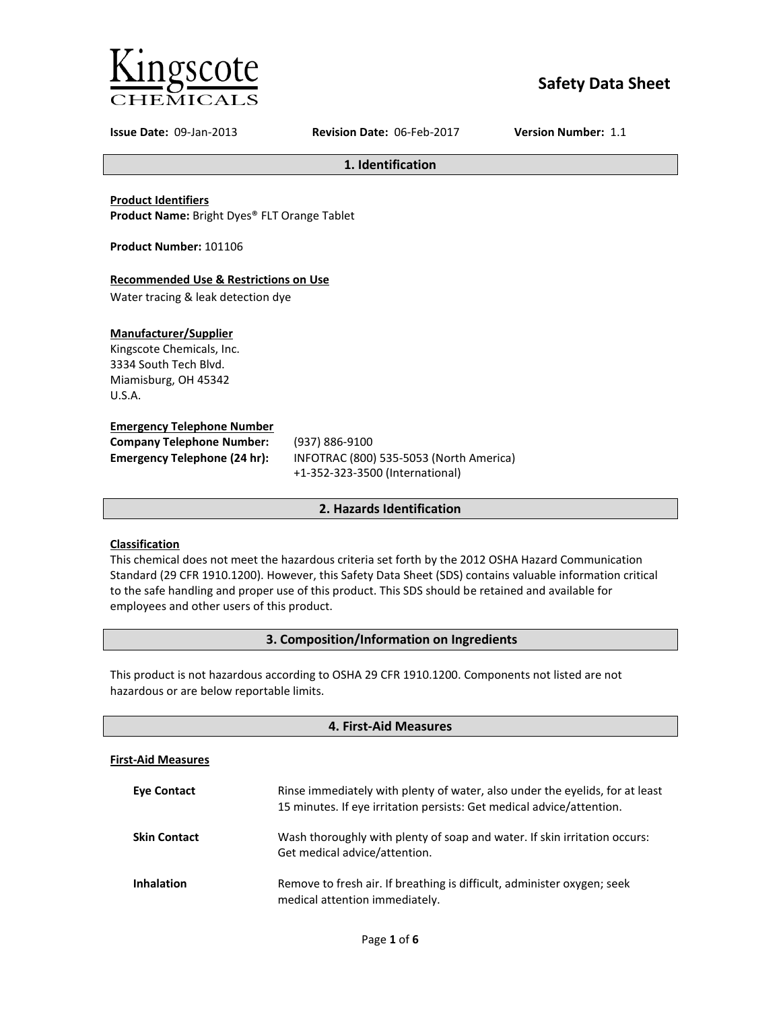

# **Safety Data Sheet**

**Issue Date:** 09-Jan-2013 **Revision Date:** 06-Feb-2017 **Version Number:** 1.1

**1. Identification**

**Product Identifiers Product Name:** Bright Dyes® FLT Orange Tablet

**Product Number:** 101106

## **Recommended Use & Restrictions on Use**

Water tracing & leak detection dye

## **Manufacturer/Supplier**

Kingscote Chemicals, Inc. 3334 South Tech Blvd. Miamisburg, OH 45342 U.S.A.

## **Emergency Telephone Number**

| <b>Company Telephone Number:</b>    | (93)       |
|-------------------------------------|------------|
| <b>Emergency Telephone (24 hr):</b> | <b>INF</b> |
|                                     |            |

**Company Telephone Number:** (937) 886-9100 **Emergency Telephone (24 hr):** INFOTRAC (800) 535-5053 (North America) +1-352-323-3500 (International)

## **2. Hazards Identification**

## **Classification**

This chemical does not meet the hazardous criteria set forth by the 2012 OSHA Hazard Communication Standard (29 CFR 1910.1200). However, this Safety Data Sheet (SDS) contains valuable information critical to the safe handling and proper use of this product. This SDS should be retained and available for employees and other users of this product.

## **3. Composition/Information on Ingredients**

This product is not hazardous according to OSHA 29 CFR 1910.1200. Components not listed are not hazardous or are below reportable limits.

| 4. First-Aid Measures     |                                                                                                                                                       |  |
|---------------------------|-------------------------------------------------------------------------------------------------------------------------------------------------------|--|
| <b>First-Aid Measures</b> |                                                                                                                                                       |  |
| <b>Eve Contact</b>        | Rinse immediately with plenty of water, also under the eyelids, for at least<br>15 minutes. If eye irritation persists: Get medical advice/attention. |  |
| <b>Skin Contact</b>       | Wash thoroughly with plenty of soap and water. If skin irritation occurs:<br>Get medical advice/attention.                                            |  |
| <b>Inhalation</b>         | Remove to fresh air. If breathing is difficult, administer oxygen; seek<br>medical attention immediately.                                             |  |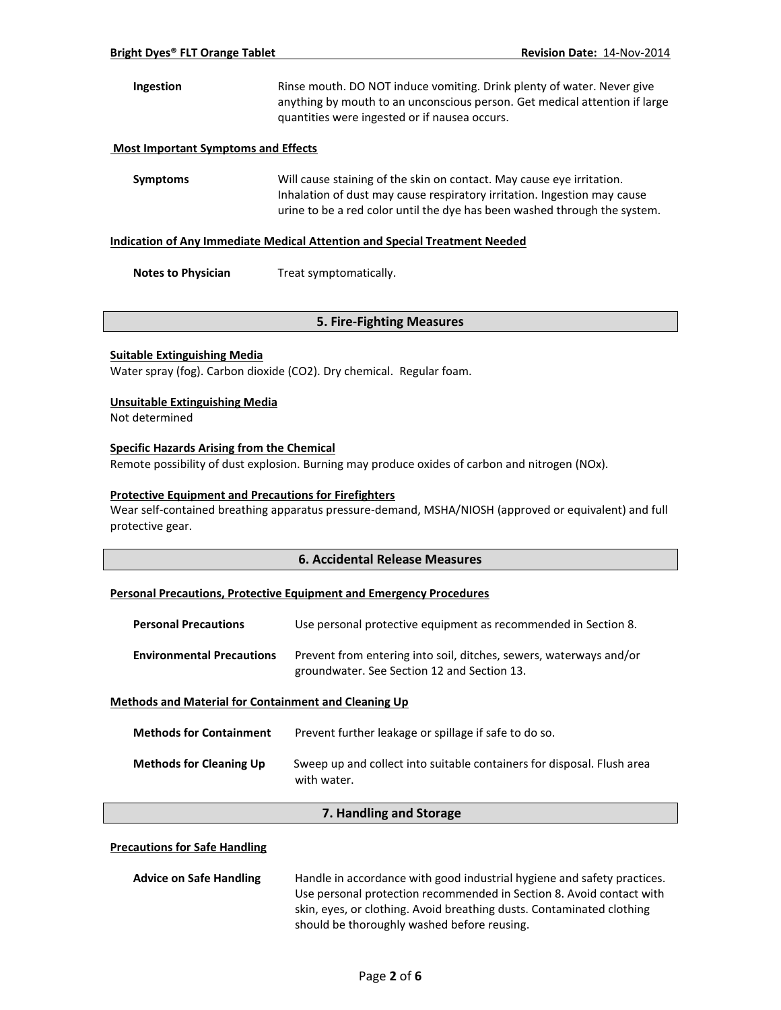## **Ingestion** Rinse mouth. DO NOT induce vomiting. Drink plenty of water. Never give anything by mouth to an unconscious person. Get medical attention if large quantities were ingested or if nausea occurs.

#### **Most Important Symptoms and Effects**

**Symptoms** Will cause staining of the skin on contact. May cause eye irritation. Inhalation of dust may cause respiratory irritation. Ingestion may cause urine to be a red color until the dye has been washed through the system.

#### **Indication of Any Immediate Medical Attention and Special Treatment Needed**

**Notes to Physician** Treat symptomatically.

#### **5. Fire-Fighting Measures**

#### **Suitable Extinguishing Media**

Water spray (fog). Carbon dioxide (CO2). Dry chemical. Regular foam.

#### **Unsuitable Extinguishing Media**

Not determined

#### **Specific Hazards Arising from the Chemical**

Remote possibility of dust explosion. Burning may produce oxides of carbon and nitrogen (NOx).

#### **Protective Equipment and Precautions for Firefighters**

Wear self-contained breathing apparatus pressure-demand, MSHA/NIOSH (approved or equivalent) and full protective gear.

#### **6. Accidental Release Measures**

#### **Personal Precautions, Protective Equipment and Emergency Procedures**

| <b>Personal Precautions</b>      | Use personal protective equipment as recommended in Section 8.                                                    |
|----------------------------------|-------------------------------------------------------------------------------------------------------------------|
| <b>Environmental Precautions</b> | Prevent from entering into soil, ditches, sewers, waterways and/or<br>groundwater. See Section 12 and Section 13. |

#### **Methods and Material for Containment and Cleaning Up**

| <b>Methods for Containment</b> | Prevent further leakage or spillage if safe to do so.                                 |
|--------------------------------|---------------------------------------------------------------------------------------|
| <b>Methods for Cleaning Up</b> | Sweep up and collect into suitable containers for disposal. Flush area<br>with water. |

## **7. Handling and Storage**

#### **Precautions for Safe Handling**

| <b>Advice on Safe Handling</b> | Handle in accordance with good industrial hygiene and safety practices. |  |
|--------------------------------|-------------------------------------------------------------------------|--|
|                                | Use personal protection recommended in Section 8. Avoid contact with    |  |
|                                | skin, eyes, or clothing. Avoid breathing dusts. Contaminated clothing   |  |
|                                | should be thoroughly washed before reusing.                             |  |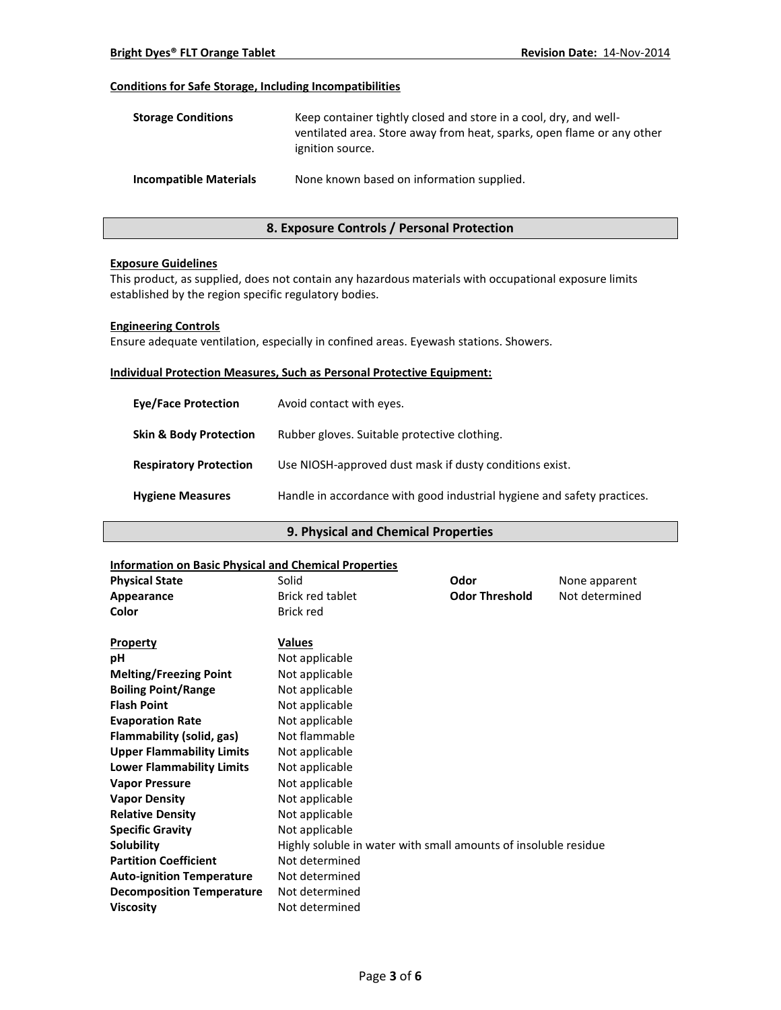## **Conditions for Safe Storage, Including Incompatibilities**

| <b>Storage Conditions</b>     | Keep container tightly closed and store in a cool, dry, and well-<br>ventilated area. Store away from heat, sparks, open flame or any other<br>ignition source. |
|-------------------------------|-----------------------------------------------------------------------------------------------------------------------------------------------------------------|
| <b>Incompatible Materials</b> | None known based on information supplied.                                                                                                                       |

## **8. Exposure Controls / Personal Protection**

#### **Exposure Guidelines**

This product, as supplied, does not contain any hazardous materials with occupational exposure limits established by the region specific regulatory bodies.

#### **Engineering Controls**

Ensure adequate ventilation, especially in confined areas. Eyewash stations. Showers.

#### **Individual Protection Measures, Such as Personal Protective Equipment:**

| <b>Eve/Face Protection</b>        | Avoid contact with eyes.                                                |
|-----------------------------------|-------------------------------------------------------------------------|
| <b>Skin &amp; Body Protection</b> | Rubber gloves. Suitable protective clothing.                            |
| <b>Respiratory Protection</b>     | Use NIOSH-approved dust mask if dusty conditions exist.                 |
| <b>Hygiene Measures</b>           | Handle in accordance with good industrial hygiene and safety practices. |

## **9. Physical and Chemical Properties**

### **Information on Basic Physical and Chemical Properties**

| <u>IIIIUI IIIauuil UII Basic Pilysical aliu Cheniical Properties</u> |                                                                 |                       |                |
|----------------------------------------------------------------------|-----------------------------------------------------------------|-----------------------|----------------|
| <b>Physical State</b>                                                | Solid                                                           | Odor                  | None apparent  |
| Appearance                                                           | <b>Brick red tablet</b>                                         | <b>Odor Threshold</b> | Not determined |
| Color                                                                | <b>Brick red</b>                                                |                       |                |
|                                                                      |                                                                 |                       |                |
| <b>Property</b>                                                      | Values                                                          |                       |                |
| рH                                                                   | Not applicable                                                  |                       |                |
| <b>Melting/Freezing Point</b>                                        | Not applicable                                                  |                       |                |
| <b>Boiling Point/Range</b>                                           | Not applicable                                                  |                       |                |
| <b>Flash Point</b>                                                   | Not applicable                                                  |                       |                |
| <b>Evaporation Rate</b>                                              | Not applicable                                                  |                       |                |
| Flammability (solid, gas)                                            | Not flammable                                                   |                       |                |
| <b>Upper Flammability Limits</b>                                     | Not applicable                                                  |                       |                |
| <b>Lower Flammability Limits</b>                                     | Not applicable                                                  |                       |                |
| <b>Vapor Pressure</b>                                                | Not applicable                                                  |                       |                |
| <b>Vapor Density</b>                                                 | Not applicable                                                  |                       |                |
| <b>Relative Density</b>                                              | Not applicable                                                  |                       |                |
| <b>Specific Gravity</b>                                              | Not applicable                                                  |                       |                |
| Solubility                                                           | Highly soluble in water with small amounts of insoluble residue |                       |                |
| <b>Partition Coefficient</b>                                         | Not determined                                                  |                       |                |
| <b>Auto-ignition Temperature</b>                                     | Not determined                                                  |                       |                |
| <b>Decomposition Temperature</b>                                     | Not determined                                                  |                       |                |
| <b>Viscosity</b>                                                     | Not determined                                                  |                       |                |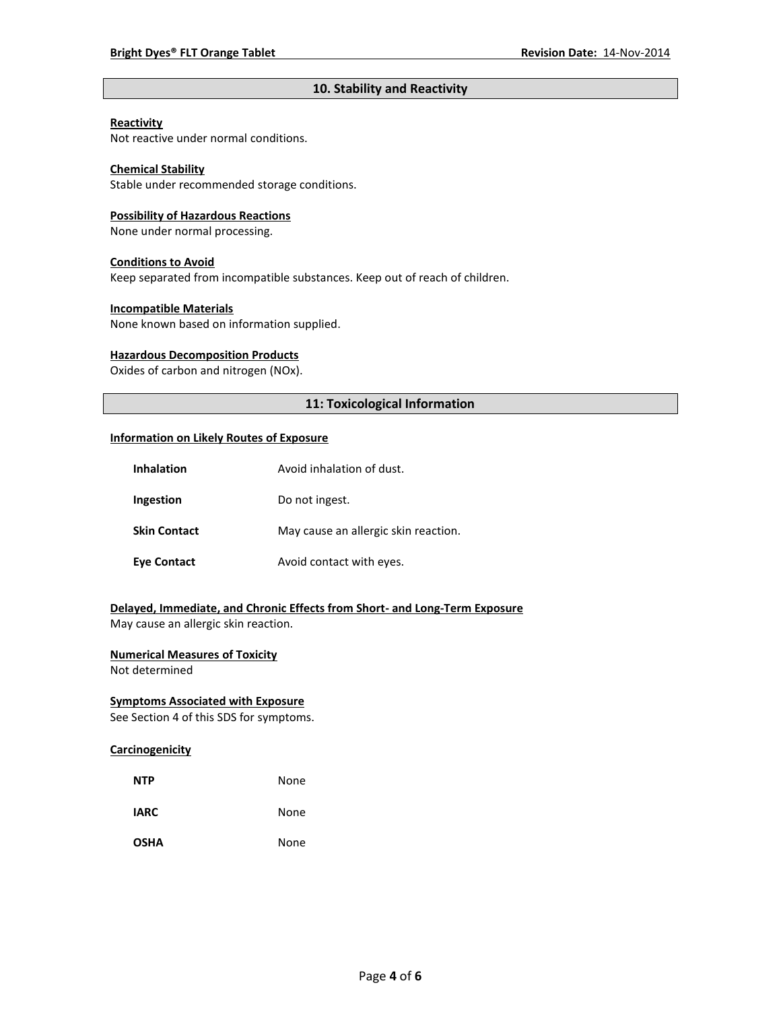## **10. Stability and Reactivity**

#### **Reactivity**

Not reactive under normal conditions.

## **Chemical Stability**

Stable under recommended storage conditions.

#### **Possibility of Hazardous Reactions**

None under normal processing.

#### **Conditions to Avoid**

Keep separated from incompatible substances. Keep out of reach of children.

#### **Incompatible Materials**

None known based on information supplied.

### **Hazardous Decomposition Products**

Oxides of carbon and nitrogen (NOx).

## **11: Toxicological Information**

#### **Information on Likely Routes of Exposure**

| <b>Inhalation</b>   | Avoid inhalation of dust.            |
|---------------------|--------------------------------------|
| Ingestion           | Do not ingest.                       |
| <b>Skin Contact</b> | May cause an allergic skin reaction. |
| <b>Eye Contact</b>  | Avoid contact with eyes.             |

## **Delayed, Immediate, and Chronic Effects from Short- and Long-Term Exposure**

May cause an allergic skin reaction.

## **Numerical Measures of Toxicity**

Not determined

## **Symptoms Associated with Exposure**

See Section 4 of this SDS for symptoms.

## **Carcinogenicity**

| <b>NTP</b>  | None |
|-------------|------|
| <b>IARC</b> | None |
| <b>OSHA</b> | None |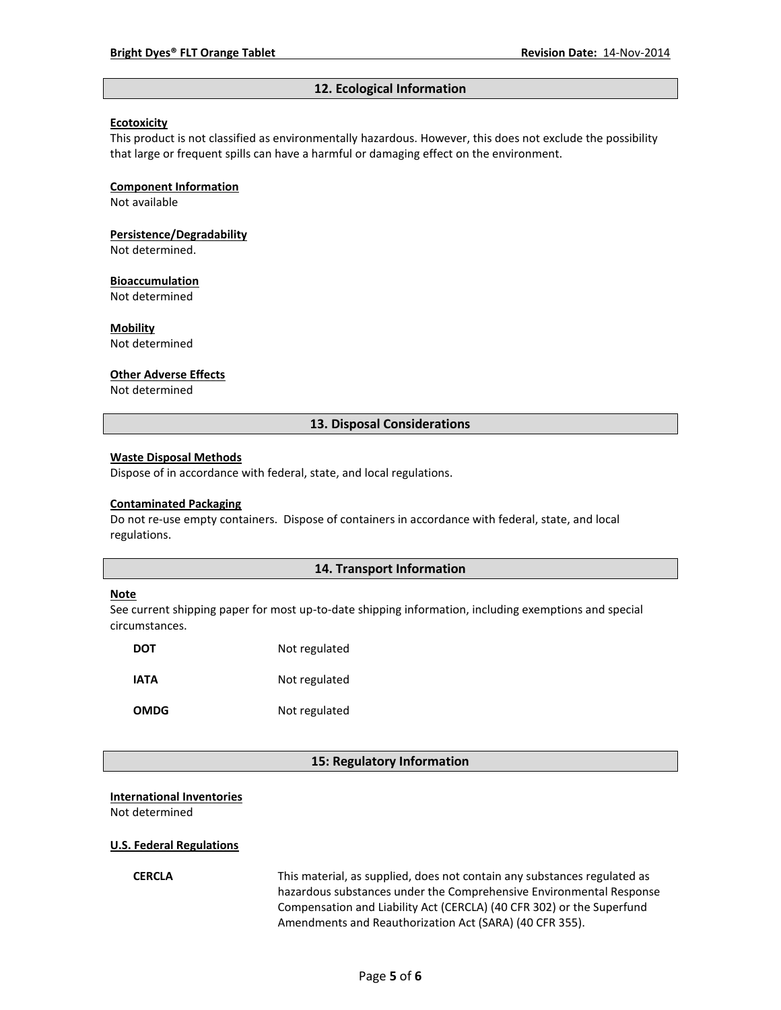#### **12. Ecological Information**

#### **Ecotoxicity**

This product is not classified as environmentally hazardous. However, this does not exclude the possibility that large or frequent spills can have a harmful or damaging effect on the environment.

#### **Component Information**

Not available

# **Persistence/Degradability**

Not determined.

#### **Bioaccumulation**

Not determined

#### **Mobility**

Not determined

#### **Other Adverse Effects**

Not determined

#### **13. Disposal Considerations**

#### **Waste Disposal Methods**

Dispose of in accordance with federal, state, and local regulations.

#### **Contaminated Packaging**

Do not re-use empty containers.Dispose of containers in accordance with federal, state, and local regulations.

#### **14. Transport Information**

#### **Note**

See current shipping paper for most up-to-date shipping information, including exemptions and special circumstances.

| <b>DOT</b>  | Not regulated |
|-------------|---------------|
| IATA        | Not regulated |
| <b>OMDG</b> | Not regulated |

#### **15: Regulatory Information**

#### **International Inventories**

Not determined

#### **U.S. Federal Regulations**

**CERCLA** This material, as supplied, does not contain any substances regulated as hazardous substances under the Comprehensive Environmental Response Compensation and Liability Act (CERCLA) (40 CFR 302) or the Superfund Amendments and Reauthorization Act (SARA) (40 CFR 355).